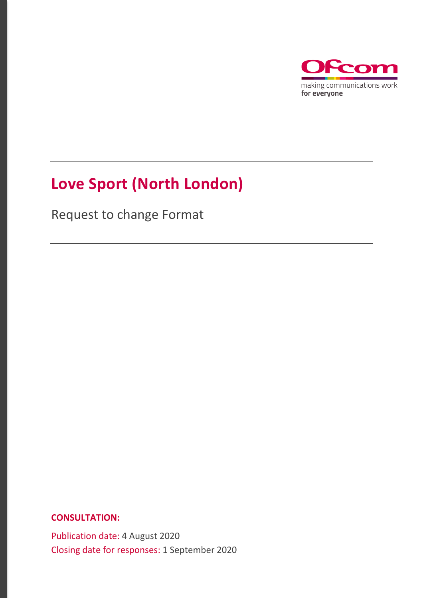

## **Love Sport (North London)**

Request to change Format

**CONSULTATION:**

Publication date: 4 August 2020 Closing date for responses: 1 September 2020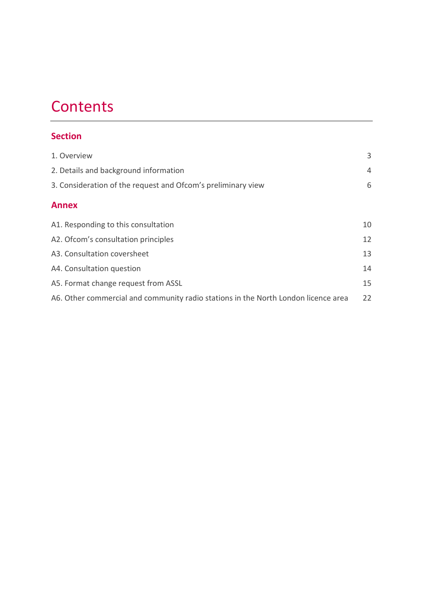## **Contents**

| <b>Section</b>                                                                     |    |
|------------------------------------------------------------------------------------|----|
| 1. Overview                                                                        | 3  |
| 2. Details and background information                                              | 4  |
| 3. Consideration of the request and Ofcom's preliminary view                       | 6  |
| <b>Annex</b>                                                                       |    |
| A1. Responding to this consultation                                                | 10 |
| A2. Of com's consultation principles                                               | 12 |
| A3. Consultation coversheet                                                        | 13 |
| A4. Consultation question                                                          | 14 |
| A5. Format change request from ASSL                                                | 15 |
| A6. Other commercial and community radio stations in the North London licence area | 22 |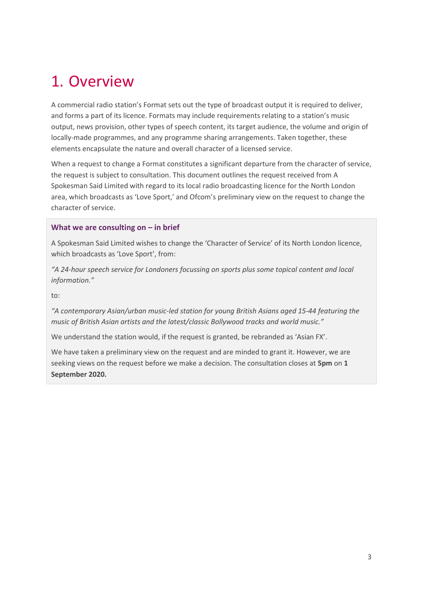## <span id="page-2-0"></span>1. Overview

A commercial radio station's Format sets out the type of broadcast output it is required to deliver, and forms a part of its licence. Formats may include requirements relating to a station's music output, news provision, other types of speech content, its target audience, the volume and origin of locally-made programmes, and any programme sharing arrangements. Taken together, these elements encapsulate the nature and overall character of a licensed service.

When a request to change a Format constitutes a significant departure from the character of service, the request is subject to consultation. This document outlines the request received from A Spokesman Said Limited with regard to its local radio broadcasting licence for the North London area, which broadcasts as 'Love Sport,' and Ofcom's preliminary view on the request to change the character of service.

#### **What we are consulting on – in brief**

A Spokesman Said Limited wishes to change the 'Character of Service' of its North London licence, which broadcasts as 'Love Sport', from:

*"A 24-hour speech service for Londoners focussing on sports plus some topical content and local information."* 

to:

*"A contemporary Asian/urban music-led station for young British Asians aged 15-44 featuring the music of British Asian artists and the latest/classic Bollywood tracks and world music."*

We understand the station would, if the request is granted, be rebranded as 'Asian FX'.

We have taken a preliminary view on the request and are minded to grant it. However, we are seeking views on the request before we make a decision. The consultation closes at **5pm** on **1 September 2020.**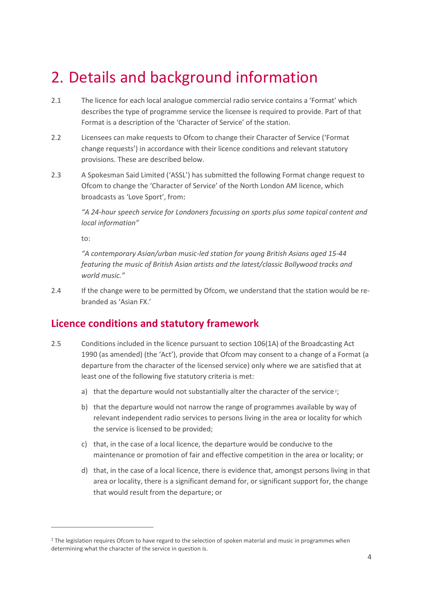## <span id="page-3-0"></span>2. Details and background information

- 2.1 The licence for each local analogue commercial radio service contains a 'Format' which describes the type of programme service the licensee is required to provide. Part of that Format is a description of the 'Character of Service' of the station.
- 2.2 Licensees can make requests to Ofcom to change their Character of Service ('Format change requests') in accordance with their licence conditions and relevant statutory provisions. These are described below.
- 2.3 A Spokesman Said Limited ('ASSL') has submitted the following Format change request to Ofcom to change the 'Character of Service' of the North London AM licence, which broadcasts as 'Love Sport', from:

*"A 24-hour speech service for Londoners focussing on sports plus some topical content and local information"* 

to:

*"A contemporary Asian/urban music-led station for young British Asians aged 15-44 featuring the music of British Asian artists and the latest/classic Bollywood tracks and world music."*

2.4 If the change were to be permitted by Ofcom, we understand that the station would be rebranded as 'Asian FX.'

### **Licence conditions and statutory framework**

- 2.5 Conditions included in the licence pursuant to section 106(1A) of the Broadcasting Act 1990 (as amended) (the 'Act'), provide that Ofcom may consent to a change of a Format (a departure from the character of the licensed service) only where we are satisfied that at least one of the following five statutory criteria is met:
	- a) that the departure would not substantially alter the character of the service *[1](#page-3-1)*;
	- b) that the departure would not narrow the range of programmes available by way of relevant independent radio services to persons living in the area or locality for which the service is licensed to be provided;
	- c) that, in the case of a local licence, the departure would be conducive to the maintenance or promotion of fair and effective competition in the area or locality; or
	- d) that, in the case of a local licence, there is evidence that, amongst persons living in that area or locality, there is a significant demand for, or significant support for, the change that would result from the departure; or

<span id="page-3-1"></span><sup>&</sup>lt;sup>1</sup> The legislation requires Ofcom to have regard to the selection of spoken material and music in programmes when determining what the character of the service in question is.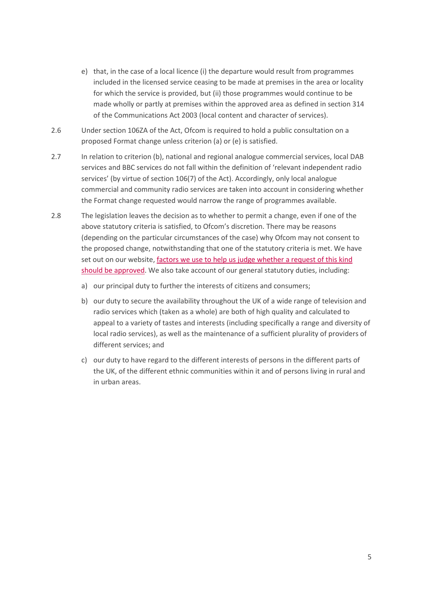- e) that, in the case of a local licence (i) the departure would result from programmes included in the licensed service ceasing to be made at premises in the area or locality for which the service is provided, but (ii) those programmes would continue to be made wholly or partly at premises within the approved area as defined in section 314 of the Communications Act 2003 (local content and character of services).
- 2.6 Under section 106ZA of the Act, Ofcom is required to hold a public consultation on a proposed Format change unless criterion (a) or (e) is satisfied.
- 2.7 In relation to criterion (b), national and regional analogue commercial services, local DAB services and BBC services do not fall within the definition of 'relevant independent radio services' (by virtue of section 106(7) of the Act). Accordingly, only local analogue commercial and community radio services are taken into account in considering whether the Format change requested would narrow the range of programmes available.
- 2.8 The legislation leaves the decision as to whether to permit a change, even if one of the above statutory criteria is satisfied, to Ofcom's discretion. There may be reasons (depending on the particular circumstances of the case) why Ofcom may not consent to the proposed change, notwithstanding that one of the statutory criteria is met. We have set out on our website[, factors we use to help us judge whether a request of this kind](https://www.ofcom.org.uk/__data/assets/pdf_file/0024/87405/The-regulation-of-Format-changes.pdf)  [should be approved.](https://www.ofcom.org.uk/__data/assets/pdf_file/0024/87405/The-regulation-of-Format-changes.pdf) We also take account of our general statutory duties, including:
	- a) our principal duty to further the interests of citizens and consumers;
	- b) our duty to secure the availability throughout the UK of a wide range of television and radio services which (taken as a whole) are both of high quality and calculated to appeal to a variety of tastes and interests (including specifically a range and diversity of local radio services), as well as the maintenance of a sufficient plurality of providers of different services; and
	- c) our duty to have regard to the different interests of persons in the different parts of the UK, of the different ethnic communities within it and of persons living in rural and in urban areas.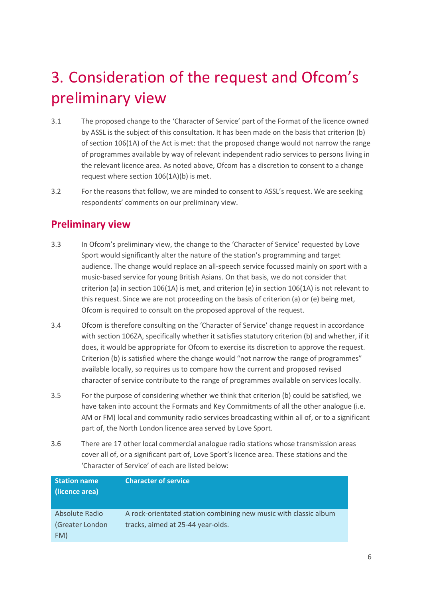## <span id="page-5-0"></span>3. Consideration of the request and Ofcom's preliminary view

- 3.1 The proposed change to the 'Character of Service' part of the Format of the licence owned by ASSL is the subject of this consultation. It has been made on the basis that criterion (b) of section 106(1A) of the Act is met: that the proposed change would not narrow the range of programmes available by way of relevant independent radio services to persons living in the relevant licence area. As noted above, Ofcom has a discretion to consent to a change request where section 106(1A)(b) is met.
- 3.2 For the reasons that follow, we are minded to consent to ASSL's request. We are seeking respondents' comments on our preliminary view.

### **Preliminary view**

- 3.3 In Ofcom's preliminary view, the change to the 'Character of Service' requested by Love Sport would significantly alter the nature of the station's programming and target audience. The change would replace an all-speech service focussed mainly on sport with a music-based service for young British Asians. On that basis, we do not consider that criterion (a) in section 106(1A) is met, and criterion (e) in section 106(1A) is not relevant to this request. Since we are not proceeding on the basis of criterion (a) or (e) being met, Ofcom is required to consult on the proposed approval of the request.
- 3.4 Ofcom is therefore consulting on the 'Character of Service' change request in accordance with section 106ZA, specifically whether it satisfies statutory criterion (b) and whether, if it does, it would be appropriate for Ofcom to exercise its discretion to approve the request. Criterion (b) is satisfied where the change would "not narrow the range of programmes" available locally, so requires us to compare how the current and proposed revised character of service contribute to the range of programmes available on services locally.
- 3.5 For the purpose of considering whether we think that criterion (b) could be satisfied, we have taken into account the Formats and Key Commitments of all the other analogue (i.e. AM or FM) local and community radio services broadcasting within all of, or to a significant part of, the North London licence area served by Love Sport.
- 3.6 There are 17 other local commercial analogue radio stations whose transmission areas cover all of, or a significant part of, Love Sport's licence area. These stations and the 'Character of Service' of each are listed below:

| <b>Station name</b><br>(licence area) | <b>Character of service</b>                                      |
|---------------------------------------|------------------------------------------------------------------|
| Absolute Radio                        | A rock-orientated station combining new music with classic album |
| (Greater London                       | tracks, aimed at 25-44 year-olds.                                |
| FM)                                   |                                                                  |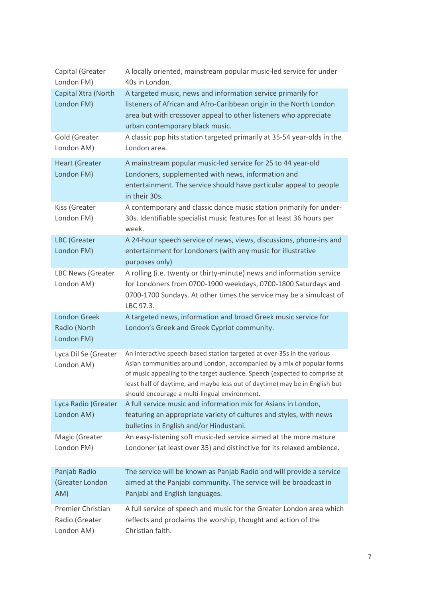| Capital (Greater<br>London FM)                    | A locally oriented, mainstream popular music-led service for under<br>40s in London.                                                                                                                                                                                                                                                                            |
|---------------------------------------------------|-----------------------------------------------------------------------------------------------------------------------------------------------------------------------------------------------------------------------------------------------------------------------------------------------------------------------------------------------------------------|
| Capital Xtra (North<br>London FM)                 | A targeted music, news and information service primarily for<br>listeners of African and Afro-Caribbean origin in the North London<br>area but with crossover appeal to other listeners who appreciate<br>urban contemporary black music.                                                                                                                       |
| Gold (Greater<br>London AM)                       | A classic pop hits station targeted primarily at 35-54 year-olds in the<br>London area.                                                                                                                                                                                                                                                                         |
| <b>Heart (Greater</b><br>London FM)               | A mainstream popular music-led service for 25 to 44 year-old<br>Londoners, supplemented with news, information and<br>entertainment. The service should have particular appeal to people<br>in their 30s.                                                                                                                                                       |
| Kiss (Greater<br>London FM)                       | A contemporary and classic dance music station primarily for under-<br>30s. Identifiable specialist music features for at least 36 hours per<br>week.                                                                                                                                                                                                           |
| LBC (Greater<br>London FM)                        | A 24-hour speech service of news, views, discussions, phone-ins and<br>entertainment for Londoners (with any music for illustrative<br>purposes only)                                                                                                                                                                                                           |
| LBC News (Greater<br>London AM)                   | A rolling (i.e. twenty or thirty-minute) news and information service<br>for Londoners from 0700-1900 weekdays, 0700-1800 Saturdays and<br>0700-1700 Sundays. At other times the service may be a simulcast of<br>LBC 97.3.                                                                                                                                     |
| <b>London Greek</b><br>Radio (North<br>London FM) | A targeted news, information and broad Greek music service for<br>London's Greek and Greek Cypriot community.                                                                                                                                                                                                                                                   |
| Lyca Dil Se (Greater<br>London AM)                | An interactive speech-based station targeted at over-35s in the various<br>Asian communities around London, accompanied by a mix of popular forms<br>of music appealing to the target audience. Speech (expected to comprise at<br>least half of daytime, and maybe less out of daytime) may be in English but<br>should encourage a multi-lingual environment. |
| Lyca Radio (Greater<br>London AM)                 | A full service music and information mix for Asians in London,<br>featuring an appropriate variety of cultures and styles, with news<br>bulletins in English and/or Hindustani.                                                                                                                                                                                 |
| Magic (Greater<br>London FM)                      | An easy-listening soft music-led service aimed at the more mature<br>Londoner (at least over 35) and distinctive for its relaxed ambience.                                                                                                                                                                                                                      |
| Panjab Radio<br>(Greater London<br>AM)            | The service will be known as Panjab Radio and will provide a service<br>aimed at the Panjabi community. The service will be broadcast in<br>Panjabi and English languages.                                                                                                                                                                                      |
| Premier Christian<br>Radio (Greater<br>London AM) | A full service of speech and music for the Greater London area which<br>reflects and proclaims the worship, thought and action of the<br>Christian faith.                                                                                                                                                                                                       |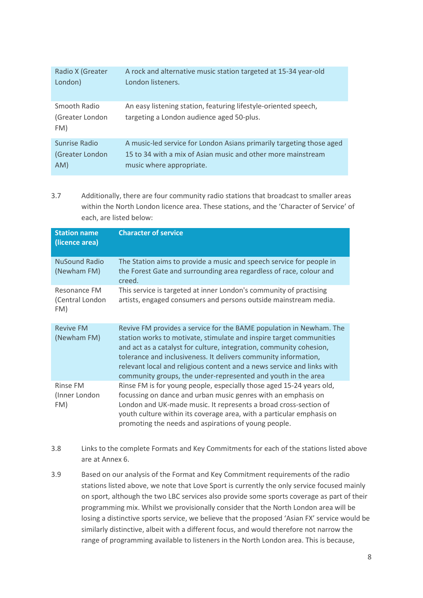| Radio X (Greater                       | A rock and alternative music station targeted at 15-34 year-old                                              |
|----------------------------------------|--------------------------------------------------------------------------------------------------------------|
| London)                                | London listeners.                                                                                            |
| Smooth Radio<br>(Greater London<br>FM) | An easy listening station, featuring lifestyle-oriented speech,<br>targeting a London audience aged 50-plus. |
| Sunrise Radio                          | A music-led service for London Asians primarily targeting those aged                                         |
| (Greater London                        | 15 to 34 with a mix of Asian music and other more mainstream                                                 |
| AM)                                    | music where appropriate.                                                                                     |

3.7 Additionally, there are four community radio stations that broadcast to smaller areas within the North London licence area. These stations, and the 'Character of Service' of each, are listed below:

| <b>Station name</b><br>(licence area)  | <b>Character of service</b>                                                                                                                                                                                                                                                                                                                                                                                                     |
|----------------------------------------|---------------------------------------------------------------------------------------------------------------------------------------------------------------------------------------------------------------------------------------------------------------------------------------------------------------------------------------------------------------------------------------------------------------------------------|
| <b>NuSound Radio</b><br>(Newham FM)    | The Station aims to provide a music and speech service for people in<br>the Forest Gate and surrounding area regardless of race, colour and<br>creed.                                                                                                                                                                                                                                                                           |
| Resonance FM<br>(Central London<br>FM) | This service is targeted at inner London's community of practising<br>artists, engaged consumers and persons outside mainstream media.                                                                                                                                                                                                                                                                                          |
| <b>Revive FM</b><br>(Newham FM)        | Revive FM provides a service for the BAME population in Newham. The<br>station works to motivate, stimulate and inspire target communities<br>and act as a catalyst for culture, integration, community cohesion,<br>tolerance and inclusiveness. It delivers community information,<br>relevant local and religious content and a news service and links with<br>community groups, the under-represented and youth in the area |
| Rinse FM<br>(Inner London<br>FM)       | Rinse FM is for young people, especially those aged 15-24 years old,<br>focussing on dance and urban music genres with an emphasis on<br>London and UK-made music. It represents a broad cross-section of<br>youth culture within its coverage area, with a particular emphasis on<br>promoting the needs and aspirations of young people.                                                                                      |

- 3.8 Links to the complete Formats and Key Commitments for each of the stations listed above are at Annex 6.
- 3.9 Based on our analysis of the Format and Key Commitment requirements of the radio stations listed above, we note that Love Sport is currently the only service focused mainly on sport, although the two LBC services also provide some sports coverage as part of their programming mix. Whilst we provisionally consider that the North London area will be losing a distinctive sports service, we believe that the proposed 'Asian FX' service would be similarly distinctive, albeit with a different focus, and would therefore not narrow the range of programming available to listeners in the North London area. This is because,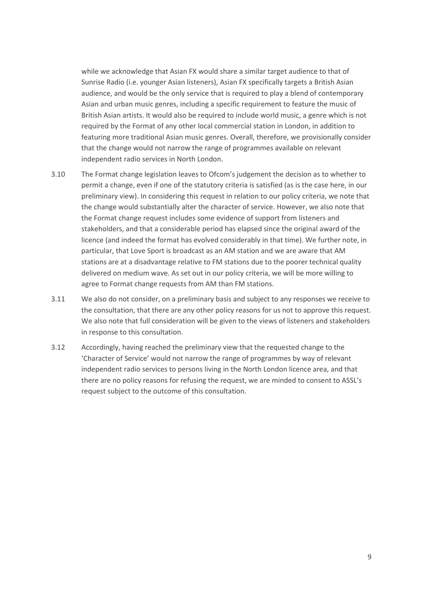while we acknowledge that Asian FX would share a similar target audience to that of Sunrise Radio (i.e. younger Asian listeners), Asian FX specifically targets a British Asian audience, and would be the only service that is required to play a blend of contemporary Asian and urban music genres, including a specific requirement to feature the music of British Asian artists. It would also be required to include world music, a genre which is not required by the Format of any other local commercial station in London, in addition to featuring more traditional Asian music genres. Overall, therefore, we provisionally consider that the change would not narrow the range of programmes available on relevant independent radio services in North London.

- 3.10 The Format change legislation leaves to Ofcom's judgement the decision as to whether to permit a change, even if one of the statutory criteria is satisfied (as is the case here, in our preliminary view). In considering this request in relation to our policy criteria, we note that the change would substantially alter the character of service. However, we also note that the Format change request includes some evidence of support from listeners and stakeholders, and that a considerable period has elapsed since the original award of the licence (and indeed the format has evolved considerably in that time). We further note, in particular, that Love Sport is broadcast as an AM station and we are aware that AM stations are at a disadvantage relative to FM stations due to the poorer technical quality delivered on medium wave. As set out in our policy criteria, we will be more willing to agree to Format change requests from AM than FM stations.
- 3.11 We also do not consider, on a preliminary basis and subject to any responses we receive to the consultation, that there are any other policy reasons for us not to approve this request. We also note that full consideration will be given to the views of listeners and stakeholders in response to this consultation.
- 3.12 Accordingly, having reached the preliminary view that the requested change to the 'Character of Service' would not narrow the range of programmes by way of relevant independent radio services to persons living in the North London licence area, and that there are no policy reasons for refusing the request, we are minded to consent to ASSL's request subject to the outcome of this consultation.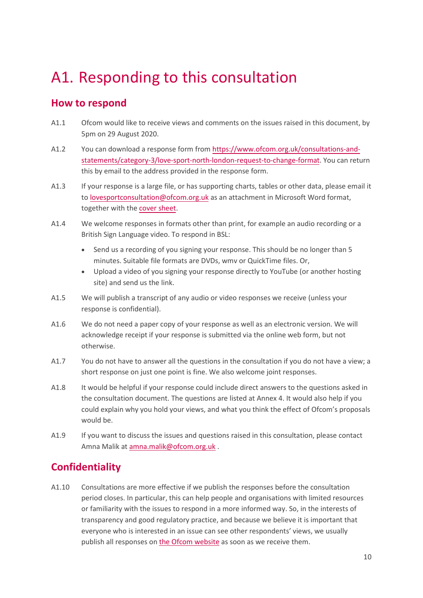## <span id="page-9-0"></span>A1. Responding to this consultation

### **How to respond**

- A1.1 Ofcom would like to receive views and comments on the issues raised in this document, by 5pm on 29 August 2020.
- A1.2 You can download a response form from [https://www.ofcom.org.uk/consultations-and](https://www.ofcom.org.uk/consultations-and-statements/category-3/love-sport-north-london-request-to-change-format)[statements/category-3/love-sport-north-london-request-to-change-format.](https://www.ofcom.org.uk/consultations-and-statements/category-3/love-sport-north-london-request-to-change-format) You can return this by email to the address provided in the response form.
- A1.3 If your response is a large file, or has supporting charts, tables or other data, please email it to [lovesportconsultation@ofcom.org.uk](mailto:lovesportconsultation@ofcom.org.uk) as an attachment in Microsoft Word format, together with the [cover sheet.](https://www.ofcom.org.uk/consultations-and-statements/consultation-response-coversheet)
- A1.4 We welcome responses in formats other than print, for example an audio recording or a British Sign Language video. To respond in BSL:
	- Send us a recording of you signing your response. This should be no longer than 5 minutes. Suitable file formats are DVDs, wmv or QuickTime files. Or,
	- Upload a video of you signing your response directly to YouTube (or another hosting site) and send us the link.
- A1.5 We will publish a transcript of any audio or video responses we receive (unless your response is confidential).
- A1.6 We do not need a paper copy of your response as well as an electronic version. We will acknowledge receipt if your response is submitted via the online web form, but not otherwise.
- A1.7 You do not have to answer all the questions in the consultation if you do not have a view; a short response on just one point is fine. We also welcome joint responses.
- A1.8 It would be helpful if your response could include direct answers to the questions asked in the consultation document. The questions are listed at Annex 4. It would also help if you could explain why you hold your views, and what you think the effect of Ofcom's proposals would be.
- A1.9 If you want to discuss the issues and questions raised in this consultation, please contact Amna Malik at [amna.malik@ofcom.org.uk .](mailto:amna.malik@ofcom.org.uk)

### **Confidentiality**

A1.10 Consultations are more effective if we publish the responses before the consultation period closes. In particular, this can help people and organisations with limited resources or familiarity with the issues to respond in a more informed way. So, in the interests of transparency and good regulatory practice, and because we believe it is important that everyone who is interested in an issue can see other respondents' views, we usually publish all responses on [the Ofcom](http://www.ofcom.org.uk/) website as soon as we receive them.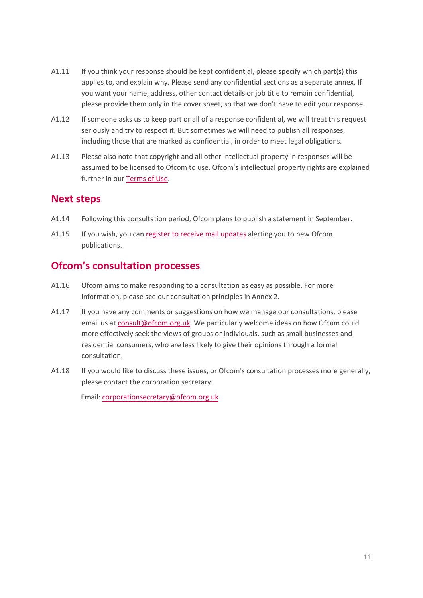- A1.11 If you think your response should be kept confidential, please specify which part(s) this applies to, and explain why. Please send any confidential sections as a separate annex. If you want your name, address, other contact details or job title to remain confidential, please provide them only in the cover sheet, so that we don't have to edit your response.
- A1.12 If someone asks us to keep part or all of a response confidential, we will treat this request seriously and try to respect it. But sometimes we will need to publish all responses, including those that are marked as confidential, in order to meet legal obligations.
- A1.13 Please also note that copyright and all other intellectual property in responses will be assumed to be licensed to Ofcom to use. Ofcom's intellectual property rights are explained further in ou[r Terms of Use.](https://www.ofcom.org.uk/about-ofcom/website/terms-of-use)

### **Next steps**

- A1.14 Following this consultation period, Ofcom plans to publish a statement in September.
- A1.15 If you wish, you can [register to receive mail updates](https://www.ofcom.org.uk/about-ofcom/latest/email-updates) alerting you to new Ofcom publications.

### **Ofcom's consultation processes**

- A1.16 Ofcom aims to make responding to a consultation as easy as possible. For more information, please see our consultation principles in Annex 2.
- A1.17 If you have any comments or suggestions on how we manage our consultations, please email us a[t consult@ofcom.org.uk.](mailto:consult@ofcom.org.uk) We particularly welcome ideas on how Ofcom could more effectively seek the views of groups or individuals, such as small businesses and residential consumers, who are less likely to give their opinions through a formal consultation.
- A1.18 If you would like to discuss these issues, or Ofcom's consultation processes more generally, please contact the corporation secretary:

Email: corporationsecretary@ofcom.org.uk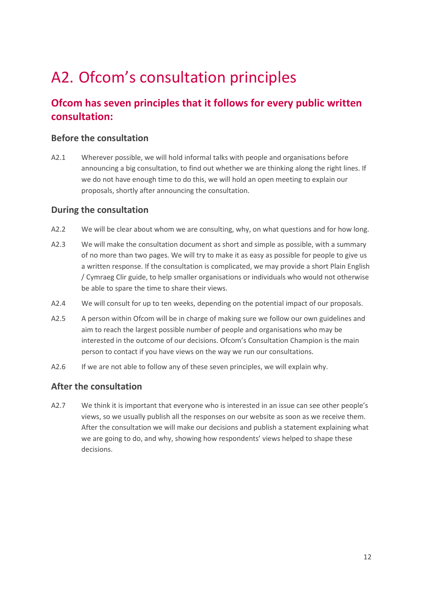## <span id="page-11-0"></span>A2. Ofcom's consultation principles

### **Ofcom has seven principles that it follows for every public written consultation:**

### **Before the consultation**

A2.1 Wherever possible, we will hold informal talks with people and organisations before announcing a big consultation, to find out whether we are thinking along the right lines. If we do not have enough time to do this, we will hold an open meeting to explain our proposals, shortly after announcing the consultation.

### **During the consultation**

- A2.2 We will be clear about whom we are consulting, why, on what questions and for how long.
- A2.3 We will make the consultation document as short and simple as possible, with a summary of no more than two pages. We will try to make it as easy as possible for people to give us a written response. If the consultation is complicated, we may provide a short Plain English / Cymraeg Clir guide, to help smaller organisations or individuals who would not otherwise be able to spare the time to share their views.
- A2.4 We will consult for up to ten weeks, depending on the potential impact of our proposals.
- A2.5 A person within Ofcom will be in charge of making sure we follow our own guidelines and aim to reach the largest possible number of people and organisations who may be interested in the outcome of our decisions. Ofcom's Consultation Champion is the main person to contact if you have views on the way we run our consultations.
- A2.6 If we are not able to follow any of these seven principles, we will explain why.

### **After the consultation**

A2.7 We think it is important that everyone who is interested in an issue can see other people's views, so we usually publish all the responses on our website as soon as we receive them. After the consultation we will make our decisions and publish a statement explaining what we are going to do, and why, showing how respondents' views helped to shape these decisions.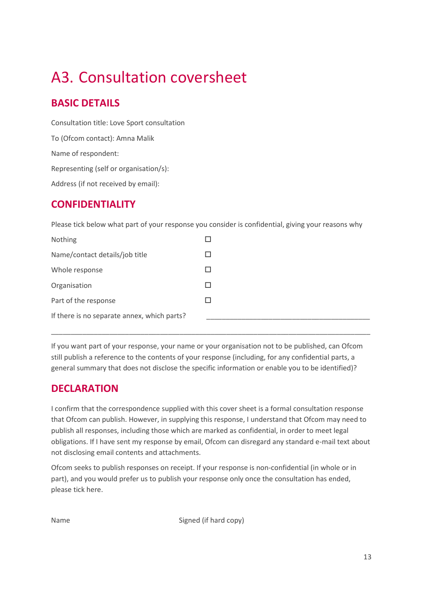# <span id="page-12-0"></span>A3. Consultation coversheet

### **BASIC DETAILS**

Consultation title: Love Sport consultation To (Ofcom contact): Amna Malik Name of respondent: Representing (self or organisation/s): Address (if not received by email):

### **CONFIDENTIALITY**

Please tick below what part of your response you consider is confidential, giving your reasons why

| Nothing                                     |  |
|---------------------------------------------|--|
| Name/contact details/job title              |  |
| Whole response                              |  |
| Organisation                                |  |
| Part of the response                        |  |
| If there is no separate annex, which parts? |  |
|                                             |  |

If you want part of your response, your name or your organisation not to be published, can Ofcom still publish a reference to the contents of your response (including, for any confidential parts, a general summary that does not disclose the specific information or enable you to be identified)?

\_\_\_\_\_\_\_\_\_\_\_\_\_\_\_\_\_\_\_\_\_\_\_\_\_\_\_\_\_\_\_\_\_\_\_\_\_\_\_\_\_\_\_\_\_\_\_\_\_\_\_\_\_\_\_\_\_\_\_\_\_\_\_\_\_\_\_\_\_\_\_\_\_\_\_\_\_\_\_\_\_\_

### **DECLARATION**

I confirm that the correspondence supplied with this cover sheet is a formal consultation response that Ofcom can publish. However, in supplying this response, I understand that Ofcom may need to publish all responses, including those which are marked as confidential, in order to meet legal obligations. If I have sent my response by email, Ofcom can disregard any standard e-mail text about not disclosing email contents and attachments.

Ofcom seeks to publish responses on receipt. If your response is non-confidential (in whole or in part), and you would prefer us to publish your response only once the consultation has ended, please tick here.

Name Signed (if hard copy)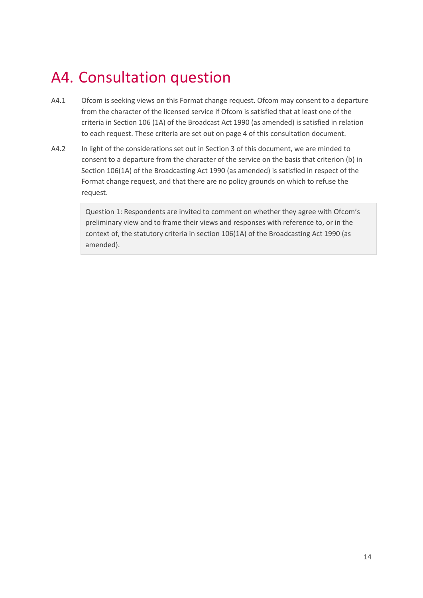## <span id="page-13-0"></span>A4. Consultation question

- A4.1 Ofcom is seeking views on this Format change request. Ofcom may consent to a departure from the character of the licensed service if Ofcom is satisfied that at least one of the criteria in Section 106 (1A) of the Broadcast Act 1990 (as amended) is satisfied in relation to each request. These criteria are set out on page 4 of this consultation document.
- A4.2 In light of the considerations set out in Section 3 of this document, we are minded to consent to a departure from the character of the service on the basis that criterion (b) in Section 106(1A) of the Broadcasting Act 1990 (as amended) is satisfied in respect of the Format change request, and that there are no policy grounds on which to refuse the request.

Question 1: Respondents are invited to comment on whether they agree with Ofcom's preliminary view and to frame their views and responses with reference to, or in the context of, the statutory criteria in section 106(1A) of the Broadcasting Act 1990 (as amended).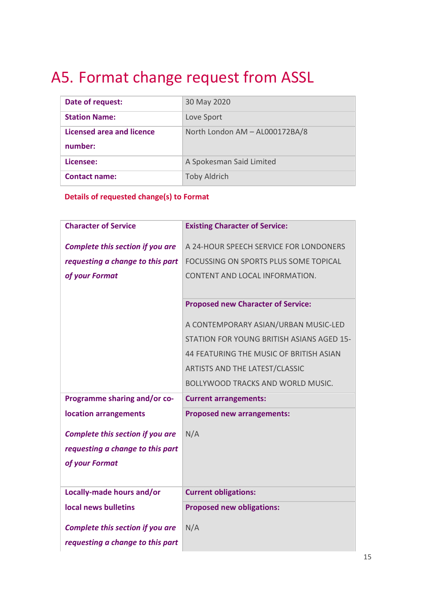## <span id="page-14-0"></span>A5. Format change request from ASSL

| Date of request:                     | 30 May 2020                    |
|--------------------------------------|--------------------------------|
| <b>Station Name:</b>                 | Love Sport                     |
| Licensed area and licence<br>number: | North London AM - AL000172BA/8 |
|                                      |                                |
| Licensee:                            | A Spokesman Said Limited       |
| <b>Contact name:</b>                 | <b>Toby Aldrich</b>            |

**Details of requested change(s) to Format**

| <b>Character of Service</b>             | <b>Existing Character of Service:</b>     |
|-----------------------------------------|-------------------------------------------|
| <b>Complete this section if you are</b> | A 24-HOUR SPEECH SERVICE FOR LONDONERS    |
| requesting a change to this part        | FOCUSSING ON SPORTS PLUS SOME TOPICAL     |
| of your Format                          | CONTENT AND LOCAL INFORMATION.            |
|                                         |                                           |
|                                         | <b>Proposed new Character of Service:</b> |
|                                         | A CONTEMPORARY ASIAN/URBAN MUSIC-LED      |
|                                         | STATION FOR YOUNG BRITISH ASIANS AGED 15- |
|                                         | 44 FEATURING THE MUSIC OF BRITISH ASIAN   |
|                                         | ARTISTS AND THE LATEST/CLASSIC            |
|                                         | <b>BOLLYWOOD TRACKS AND WORLD MUSIC.</b>  |
| <b>Programme sharing and/or co-</b>     | <b>Current arrangements:</b>              |
| location arrangements                   | <b>Proposed new arrangements:</b>         |
| <b>Complete this section if you are</b> | N/A                                       |
| requesting a change to this part        |                                           |
| of your Format                          |                                           |
|                                         |                                           |
| Locally-made hours and/or               | <b>Current obligations:</b>               |
| local news bulletins                    | <b>Proposed new obligations:</b>          |
| <b>Complete this section if you are</b> | N/A                                       |
|                                         |                                           |
| requesting a change to this part        |                                           |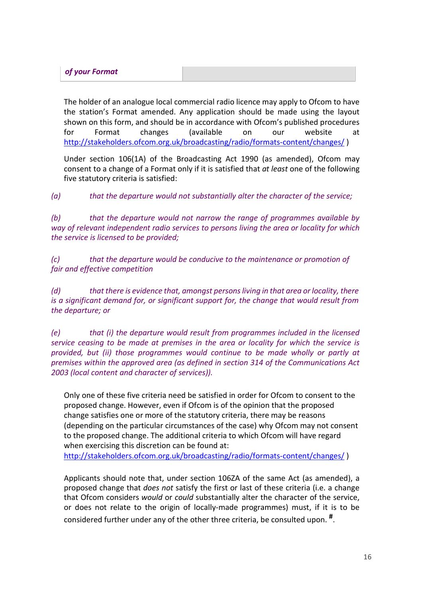| of your Format |  |
|----------------|--|
|                |  |

The holder of an analogue local commercial radio licence may apply to Ofcom to have the station's Format amended. Any application should be made using the layout shown on this form, and should be in accordance with Ofcom's published procedures for Format changes (available on our website at <http://stakeholders.ofcom.org.uk/broadcasting/radio/formats-content/changes/> )

Under section 106(1A) of the Broadcasting Act 1990 (as amended), Ofcom may consent to a change of a Format only if it is satisfied that *at least* one of the following five statutory criteria is satisfied:

*(a) that the departure would not substantially alter the character of the service;*

*(b) that the departure would not narrow the range of programmes available by way of relevant independent radio services to persons living the area or locality for which the service is licensed to be provided;*

*(c) that the departure would be conducive to the maintenance or promotion of fair and effective competition*

*(d) that there is evidence that, amongst persons living in that area or locality, there is a significant demand for, or significant support for, the change that would result from the departure; or*

*(e) that (i) the departure would result from programmes included in the licensed service ceasing to be made at premises in the area or locality for which the service is provided, but (ii) those programmes would continue to be made wholly or partly at premises within the approved area (as defined in section 314 of the Communications Act 2003 (local content and character of services)).*

Only one of these five criteria need be satisfied in order for Ofcom to consent to the proposed change. However, even if Ofcom is of the opinion that the proposed change satisfies one or more of the statutory criteria, there may be reasons (depending on the particular circumstances of the case) why Ofcom may not consent to the proposed change. The additional criteria to which Ofcom will have regard when exercising this discretion can be found at: <http://stakeholders.ofcom.org.uk/broadcasting/radio/formats-content/changes/> )

Applicants should note that, under section 106ZA of the same Act (as amended), a proposed change that *does not* satisfy the first or last of these criteria (i.e. a change that Ofcom considers *would* or *could* substantially alter the character of the service, or does not relate to the origin of locally-made programmes) must, if it is to be considered further under any of the other three criteria, be consulted upon. **#**.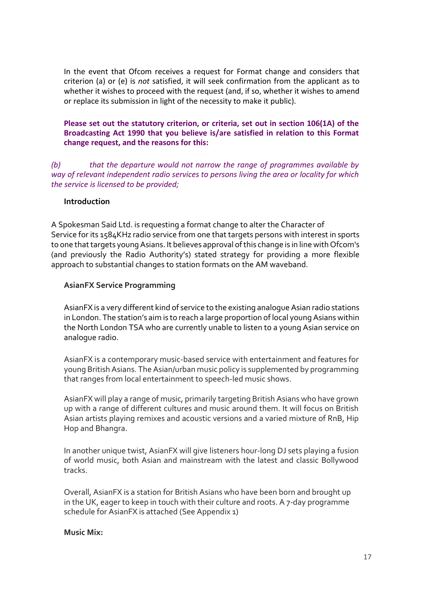In the event that Ofcom receives a request for Format change and considers that criterion (a) or (e) is *not* satisfied, it will seek confirmation from the applicant as to whether it wishes to proceed with the request (and, if so, whether it wishes to amend or replace its submission in light of the necessity to make it public).

### **Please set out the statutory criterion, or criteria, set out in section 106(1A) of the Broadcasting Act 1990 that you believe is/are satisfied in relation to this Format change request, and the reasons for this:**

*(b) that the departure would not narrow the range of programmes available by way of relevant independent radio services to persons living the area or locality for which the service is licensed to be provided;*

### **Introduction**

A Spokesman Said Ltd. is requesting a format change to alter the Character of Service for its 1584KHz radio service from one that targets persons with interest in sports to one that targets young Asians. It believes approval of this change is in line with Ofcom's (and previously the Radio Authority's) stated strategy for providing a more flexible approach to substantial changes to station formats on the AM waveband.

### **AsianFX Service Programming**

AsianFX is a very different kind of service to the existing analogue Asian radio stations in London. The station's aim is to reach a large proportion of local young Asians within the North London TSA who are currently unable to listen to a young Asian service on analogue radio.

AsianFX is a contemporary music-based service with entertainment and features for young British Asians. The Asian/urban music policy is supplemented by programming that ranges from local entertainment to speech-led music shows.

AsianFX will play a range of music, primarily targeting British Asians who have grown up with a range of different cultures and music around them. It will focus on British Asian artists playing remixes and acoustic versions and a varied mixture of RnB, Hip Hop and Bhangra.

In another unique twist, AsianFX will give listeners hour-long DJ sets playing a fusion of world music, both Asian and mainstream with the latest and classic Bollywood tracks.

Overall, AsianFX is a station for British Asians who have been born and brought up in the UK, eager to keep in touch with their culture and roots. A 7-day programme schedule for AsianFX is attached (See Appendix 1)

#### **Music Mix:**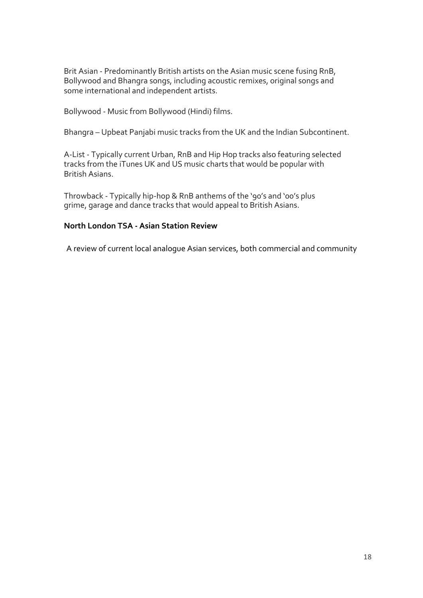Brit Asian - Predominantly British artists on the Asian music scene fusing RnB, Bollywood and Bhangra songs, including acoustic remixes, original songs and some international and independent artists.

Bollywood - Music from Bollywood (Hindi) films.

Bhangra – Upbeat Panjabi music tracks from the UK and the Indian Subcontinent.

A-List - Typically current Urban, RnB and Hip Hop tracks also featuring selected tracks from the iTunes UK and US music charts that would be popular with British Asians.

Throwback - Typically hip-hop & RnB anthems of the '90's and '00's plus grime, garage and dance tracks that would appeal to British Asians.

### **North London TSA - Asian Station Review**

A review of current local analogue Asian services, both commercial and community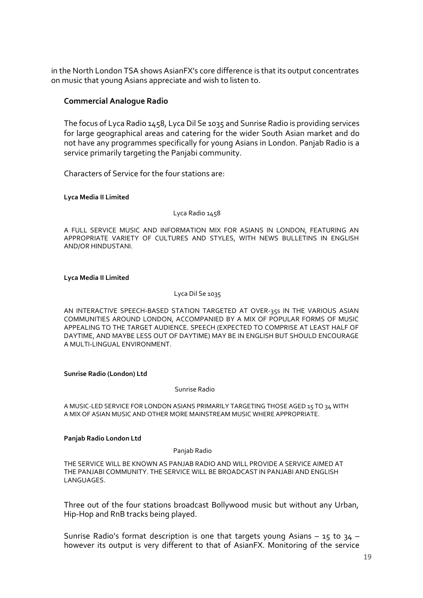in the North London TSA shows AsianFX's core difference is that its output concentrates on music that young Asians appreciate and wish to listen to.

#### **Commercial Analogue Radio**

The focus of Lyca Radio 1458, Lyca Dil Se 1035 and Sunrise Radio is providing services for large geographical areas and catering for the wider South Asian market and do not have any programmes specifically for young Asians in London. Panjab Radio is a service primarily targeting the Panjabi community.

Characters of Service for the four stations are:

**Lyca Media II Limited**

Lyca Radio 1458

A FULL SERVICE MUSIC AND INFORMATION MIX FOR ASIANS IN LONDON, FEATURING AN APPROPRIATE VARIETY OF CULTURES AND STYLES, WITH NEWS BULLETINS IN ENGLISH AND/OR HINDUSTANI.

#### **Lyca Media II Limited**

#### Lyca Dil Se 1035

AN INTERACTIVE SPEECH-BASED STATION TARGETED AT OVER-35s IN THE VARIOUS ASIAN COMMUNITIES AROUND LONDON, ACCOMPANIED BY A MIX OF POPULAR FORMS OF MUSIC APPEALING TO THE TARGET AUDIENCE. SPEECH (EXPECTED TO COMPRISE AT LEAST HALF OF DAYTIME, AND MAYBE LESS OUT OF DAYTIME) MAY BE IN ENGLISH BUT SHOULD ENCOURAGE A MULTI-LINGUAL ENVIRONMENT.

#### **Sunrise Radio (London) Ltd**

#### Sunrise Radio

A MUSIC-LED SERVICE FOR LONDON ASIANS PRIMARILY TARGETING THOSE AGED 15 TO 34 WITH A MIX OF ASIAN MUSIC AND OTHER MORE MAINSTREAM MUSIC WHERE APPROPRIATE.

#### **Panjab Radio London Ltd**

#### Panjab Radio

THE SERVICE WILL BE KNOWN AS PANJAB RADIO AND WILL PROVIDE A SERVICE AIMED AT THE PANJABI COMMUNITY. THE SERVICE WILL BE BROADCAST IN PANJABI AND ENGLISH LANGUAGES.

Three out of the four stations broadcast Bollywood music but without any Urban, Hip-Hop and RnB tracks being played.

Sunrise Radio's format description is one that targets young Asians – 15 to 34 – however its output is very different to that of AsianFX. Monitoring of the service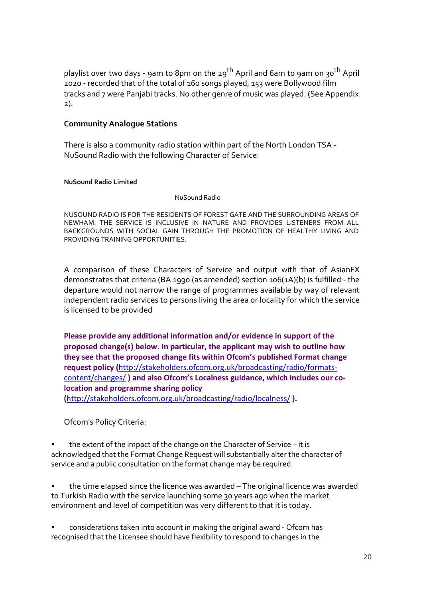playlist over two days - 9am to 8pm on the 29<sup>th</sup> April and 6am to 9am on 30<sup>th</sup> April 2020 - recorded that of the total of 160 songs played, 153 were Bollywood film tracks and 7 were Panjabi tracks. No other genre of music was played. (See Appendix 2).

### **Community Analogue Stations**

There is also a community radio station within part of the North London TSA - NuSound Radio with the following Character of Service:

#### **NuSound Radio Limited**

NuSound Radio

NUSOUND RADIO IS FOR THE RESIDENTS OF FOREST GATE AND THE SURROUNDING AREAS OF NEWHAM. THE SERVICE IS INCLUSIVE IN NATURE AND PROVIDES LISTENERS FROM ALL BACKGROUNDS WITH SOCIAL GAIN THROUGH THE PROMOTION OF HEALTHY LIVING AND PROVIDING TRAINING OPPORTUNITIES.

A comparison of these Characters of Service and output with that of AsianFX demonstrates that criteria (BA 1990 (as amended) section 106(1A)(b) is fulfilled - the departure would not narrow the range of programmes available by way of relevant independent radio services to persons living the area or locality for which the service is licensed to be provided

**Please provide any additional information and/or evidence in support of the proposed change(s) below. In particular, the applicant may wish to outline how they see that the proposed change fits within Ofcom's published Format change request policy (**[http://stakeholders.ofcom.org.uk/broadcasting/radio/formats](http://stakeholders.ofcom.org.uk/broadcasting/radio/formats-content/changes/)[content/changes/](http://stakeholders.ofcom.org.uk/broadcasting/radio/formats-content/changes/) **) and also Ofcom's Localness guidance, which includes our colocation and programme sharing policy (**<http://stakeholders.ofcom.org.uk/broadcasting/radio/localness/> **).**

Ofcom's Policy Criteria:

the extent of the impact of the change on the Character of Service – it is acknowledged that the Format Change Request will substantially alter the character of service and a public consultation on the format change may be required.

the time elapsed since the licence was awarded - The original licence was awarded to Turkish Radio with the service launching some 30 years ago when the market environment and level of competition was very different to that it is today.

• considerations taken into account in making the original award - Ofcom has recognised that the Licensee should have flexibility to respond to changes in the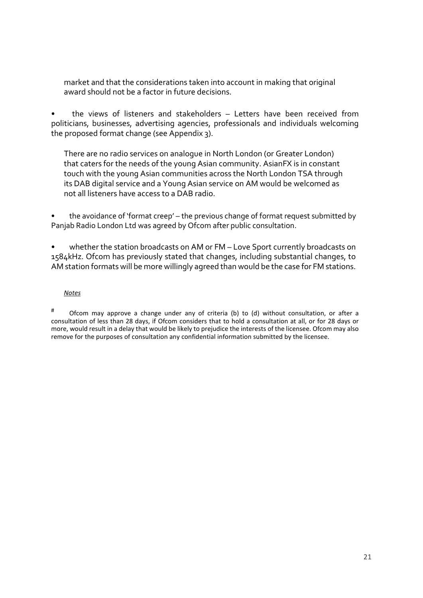market and that the considerations taken into account in making that original award should not be a factor in future decisions.

• the views of listeners and stakeholders – Letters have been received from politicians, businesses, advertising agencies, professionals and individuals welcoming the proposed format change (see Appendix 3).

There are no radio services on analogue in North London (or Greater London) that caters for the needs of the young Asian community. AsianFX is in constant touch with the young Asian communities across the North London TSA through its DAB digital service and a Young Asian service on AM would be welcomed as not all listeners have access to a DAB radio.

• the avoidance of 'format creep' – the previous change of format request submitted by Panjab Radio London Ltd was agreed by Ofcom after public consultation.

whether the station broadcasts on AM or FM - Love Sport currently broadcasts on 1584kHz. Ofcom has previously stated that changes, including substantial changes, to AM station formats will be more willingly agreed than would be the case for FM stations.

#### *Notes*

# Ofcom may approve a change under any of criteria (b) to (d) without consultation, or after a consultation of less than 28 days, if Ofcom considers that to hold a consultation at all, or for 28 days or more, would result in a delay that would be likely to prejudice the interests of the licensee. Ofcom may also remove for the purposes of consultation any confidential information submitted by the licensee.